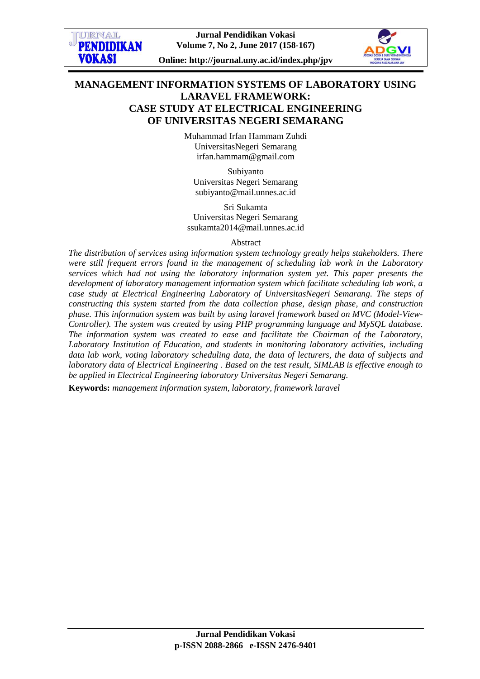

# **MANAGEMENT INFORMATION SYSTEMS OF LABORATORY USING LARAVEL FRAMEWORK: CASE STUDY AT ELECTRICAL ENGINEERING OF UNIVERSITAS NEGERI SEMARANG**

Muhammad Irfan Hammam Zuhdi UniversitasNegeri Semarang [irfan.hammam@gmail.com](mailto:irfan.hammam@gmail.com)

Subiyanto Universitas Negeri Semarang [subiyanto@mail.unnes.ac.id](mailto:subiyanto@gmail.com)

Sri Sukamta Universitas Negeri Semarang [ssukamta2014@mail.unnes.ac.id](mailto:ssukamta2014@mail.unnes.ac.id)

Abstract

*The distribution of services using information system technology greatly helps stakeholders. There were still frequent errors found in the management of scheduling lab work in the Laboratory services which had not using the laboratory information system yet. This paper presents the development of laboratory management information system which facilitate scheduling lab work, a case study at Electrical Engineering Laboratory of UniversitasNegeri Semarang. The steps of constructing this system started from the data collection phase, design phase, and construction phase. This information system was built by using laravel framework based on MVC (Model-View-Controller). The system was created by using PHP programming language and MySQL database. The information system was created to ease and facilitate the Chairman of the Laboratory, Laboratory Institution of Education, and students in monitoring laboratory activities, including data lab work, voting laboratory scheduling data, the data of lecturers, the data of subjects and laboratory data of Electrical Engineering . Based on the test result, SIMLAB is effective enough to be applied in Electrical Engineering laboratory Universitas Negeri Semarang.* 

**Keywords:** *management information system, laboratory, framework laravel*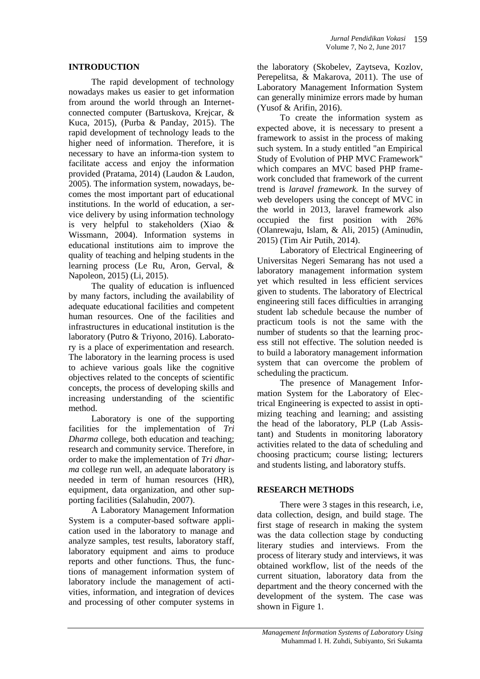### **INTRODUCTION**

The rapid development of technology nowadays makes us easier to get information from around the world through an Internetconnected computer (Bartuskova, Krejcar, & Kuca, 2015), (Purba & Panday, 2015). The rapid development of technology leads to the higher need of information. Therefore, it is necessary to have an informa-tion system to facilitate access and enjoy the information provided (Pratama, 2014) (Laudon & Laudon, 2005)*.* The information system, nowadays, becomes the most important part of educational institutions. In the world of education, a service delivery by using information technology is very helpful to stakeholders (Xiao & Wissmann, 2004). Information systems in educational institutions aim to improve the quality of teaching and helping students in the learning process (Le Ru, Aron, Gerval, & Napoleon, 2015) (Li, 2015).

The quality of education is influenced by many factors, including the availability of adequate educational facilities and competent human resources. One of the facilities and infrastructures in educational institution is the laboratory (Putro & Triyono, 2016). Laboratory is a place of experimentation and research. The laboratory in the learning process is used to achieve various goals like the cognitive objectives related to the concepts of scientific concepts, the process of developing skills and increasing understanding of the scientific method.

Laboratory is one of the supporting facilities for the implementation of *Tri Dharma* college, both education and teaching; research and community service. Therefore, in order to make the implementation of *Tri dharma* college run well, an adequate laboratory is needed in term of human resources (HR), equipment, data organization, and other supporting facilities (Salahudin, 2007).

A Laboratory Management Information System is a computer-based software application used in the laboratory to manage and analyze samples, test results, laboratory staff, laboratory equipment and aims to produce reports and other functions. Thus, the functions of management information system of laboratory include the management of activities, information, and integration of devices and processing of other computer systems in

the laboratory (Skobelev, Zaytseva, Kozlov, Perepelitsa, & Makarova, 2011). The use of Laboratory Management Information System can generally minimize errors made by human (Yusof & Arifin, 2016).

To create the information system as expected above, it is necessary to present a framework to assist in the process of making such system. In a study entitled "an Empirical Study of Evolution of PHP MVC Framework" which compares an MVC based PHP framework concluded that framework of the current trend is *laravel framework.* In the survey of web developers using the concept of MVC in the world in 2013, laravel framework also occupied the first position with 26% (Olanrewaju, Islam, & Ali, 2015) (Aminudin, 2015) (Tim Air Putih, 2014).

Laboratory of Electrical Engineering of Universitas Negeri Semarang has not used a laboratory management information system yet which resulted in less efficient services given to students. The laboratory of Electrical engineering still faces difficulties in arranging student lab schedule because the number of practicum tools is not the same with the number of students so that the learning process still not effective. The solution needed is to build a laboratory management information system that can overcome the problem of scheduling the practicum.

The presence of Management Information System for the Laboratory of Electrical Engineering is expected to assist in optimizing teaching and learning; and assisting the head of the laboratory, PLP (Lab Assistant) and Students in monitoring laboratory activities related to the data of scheduling and choosing practicum; course listing; lecturers and students listing, and laboratory stuffs.

### **RESEARCH METHODS**

There were 3 stages in this research, *i.e.* data collection, design, and build stage. The first stage of research in making the system was the data collection stage by conducting literary studies and interviews. From the process of literary study and interviews, it was obtained workflow, list of the needs of the current situation, laboratory data from the department and the theory concerned with the development of the system. The case was shown in Figure 1.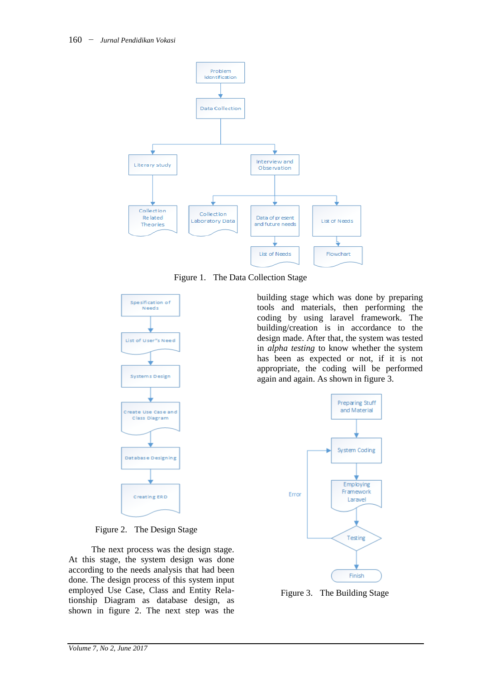

Figure 1. The Data Collection Stage



Figure 2. The Design Stage

The next process was the design stage. At this stage, the system design was done according to the needs analysis that had been done. The design process of this system input employed Use Case, Class and Entity Relationship Diagram as database design, as shown in figure 2. The next step was the

building stage which was done by preparing tools and materials, then performing the coding by using laravel framework. The building/creation is in accordance to the design made. After that, the system was tested in *alpha testing* to know whether the system has been as expected or not, if it is not appropriate, the coding will be performed again and again. As shown in figure 3.



Figure 3. The Building Stage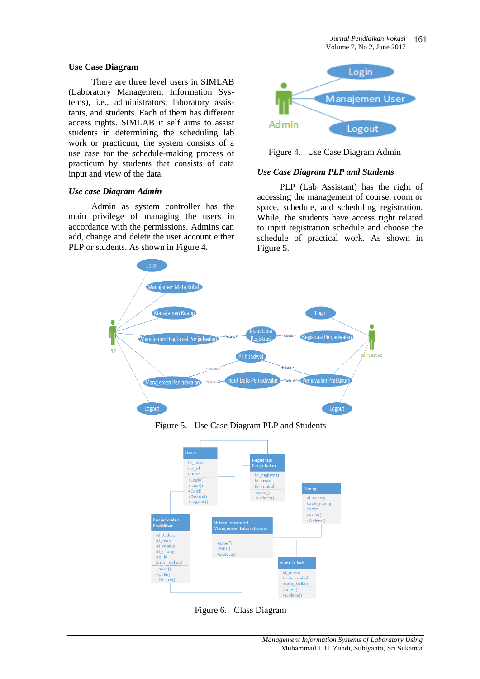#### **Use Case Diagram**

There are three level users in SIMLAB (Laboratory Management Information Systems), i.e., administrators, laboratory assistants, and students. Each of them has different access rights. SIMLAB it self aims to assist students in determining the scheduling lab work or practicum, the system consists of a use case for the schedule-making process of practicum by students that consists of data input and view of the data.

### *Use case Diagram Admin*

Admin as system controller has the main privilege of managing the users in accordance with the permissions. Admins can add, change and delete the user account either PLP or students. As shown in Figure 4.



Figure 4. Use Case Diagram Admin

### *Use Case Diagram PLP and Students*

PLP (Lab Assistant) has the right of accessing the management of course, room or space, schedule, and scheduling registration. While, the students have access right related to input registration schedule and choose the schedule of practical work. As shown in Figure 5.



Figure 5. Use Case Diagram PLP and Students



Figure 6. Class Diagram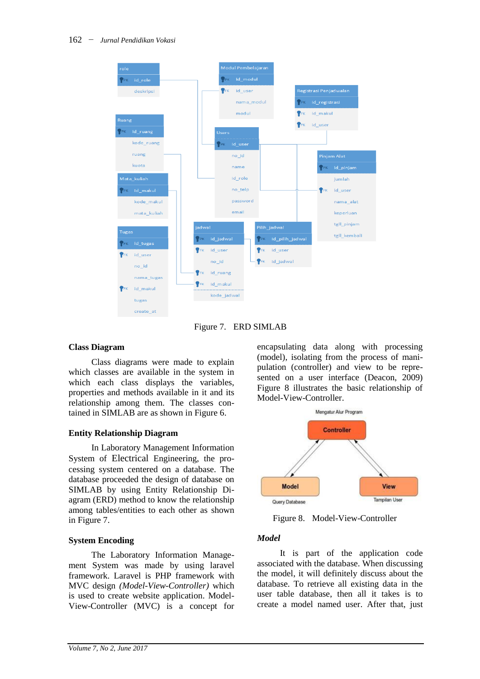

Figure 7. ERD SIMLAB

### **Class Diagram**

Class diagrams were made to explain which classes are available in the system in which each class displays the variables, properties and methods available in it and its relationship among them. The classes contained in SIMLAB are as shown in Figure 6.

### **Entity Relationship Diagram**

In Laboratory Management Information System of Electrical Engineering, the processing system centered on a database. The database proceeded the design of database on SIMLAB by using Entity Relationship Diagram (ERD) method to know the relationship among tables/entities to each other as shown in Figure 7.

### **System Encoding**

The Laboratory Information Management System was made by using laravel framework. Laravel is PHP framework with MVC design *(Model-View-Controller)* which is used to create website application. Model-View-Controller (MVC) is a concept for encapsulating data along with processing (model), isolating from the process of manipulation (controller) and view to be represented on a user interface (Deacon, 2009) Figure 8 illustrates the basic relationship of Model-View-Controller.



Figure 8. Model-View-Controller

### *Model*

It is part of the application code associated with the database. When discussing the model, it will definitely discuss about the database. To retrieve all existing data in the user table database, then all it takes is to create a model named user. After that, just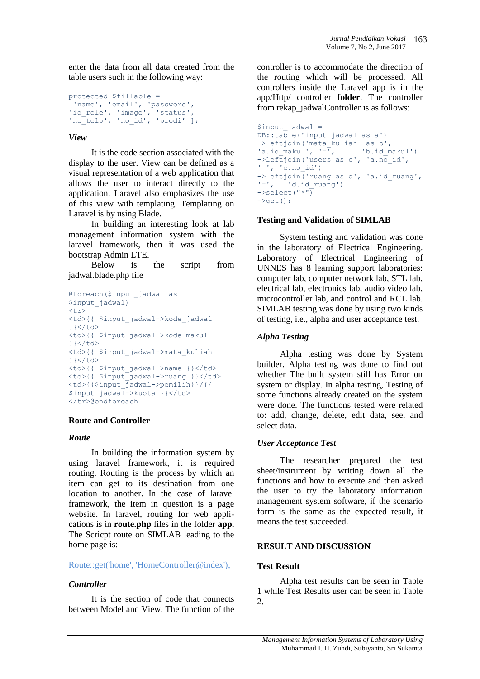enter the data from all data created from the table users such in the following way:

```
protected $fillable = 
['name', 'email', 'password', 
'id role', 'image', 'status',
'no_telp', 'no_id', 'prodi' ];
```
### *View*

It is the code section associated with the display to the user. View can be defined as a visual representation of a web application that allows the user to interact directly to the application. Laravel also emphasizes the use of this view with templating. Templating on Laravel is by using Blade.

In building an interesting look at lab management information system with the laravel framework, then it was used the bootstrap Admin LTE.

Below is the script from jadwal.blade.php file

```
@foreach($input_jadwal as
$input_jadwal)
\langle \text{tr} \rangle<td>{{ $input_jadwal->kode_jadwal 
}}</td>
<td>{{ $input_jadwal->kode_makul 
}}</d<td>{{ $input_jadwal->mata_kuliah 
\} \langle /td>
<td>{{ $input_jadwal->name }}</td>
<td>{{ $input jadwal->ruang }}</td>
<td>{{$input_jadwal->pemilih}}/{{ 
$input jadwal->kuota }}</td>
</tr>@endforeach
```
### **Route and Controller**

### *Route*

In building the information system by using laravel framework, it is required routing. Routing is the process by which an item can get to its destination from one location to another. In the case of laravel framework, the item in question is a page website. In laravel, routing for web applications is in **route.php** files in the folder **app.** The Scricpt route on SIMLAB leading to the home page is:

# Route::get('home', 'HomeController@index');

# *Controller*

It is the section of code that connects between Model and View. The function of the controller is to accommodate the direction of the routing which will be processed. All controllers inside the Laravel app is in the app/Http/ controller **folder**. The controller from rekap\_jadwalController is as follows:

```
$input jadwal =
DB::table('input jadwal as a')
->leftjoin('mata_kuliah as b',
'a.id_makul', '=\overline{y}, 'b.id makul')
->leftjoin('users as c', 'a.no_id', 
'=', 'c.no id')
\rightarrowleftjoin('ruang as d', 'a.id ruang',
'=', 'd.id_ruang')\rightarrowselect("*")
\rightarrowqet();
```
### **Testing and Validation of SIMLAB**

System testing and validation was done in the laboratory of Electrical Engineering. Laboratory of Electrical Engineering of UNNES has 8 learning support laboratories: computer lab, computer network lab, STL lab, electrical lab, electronics lab, audio video lab, microcontroller lab, and control and RCL lab. SIMLAB testing was done by using two kinds of testing, i.e., alpha and user acceptance test.

### *Alpha Testing*

Alpha testing was done by System builder. Alpha testing was done to find out whether The built system still has Error on system or display. In alpha testing, Testing of some functions already created on the system were done. The functions tested were related to: add, change, delete, edit data, see, and select data.

# *User Acceptance Test*

The researcher prepared the test sheet/instrument by writing down all the functions and how to execute and then asked the user to try the laboratory information management system software, if the scenario form is the same as the expected result, it means the test succeeded.

### **RESULT AND DISCUSSION**

# **Test Result**

Alpha test results can be seen in Table 1 while Test Results user can be seen in Table 2.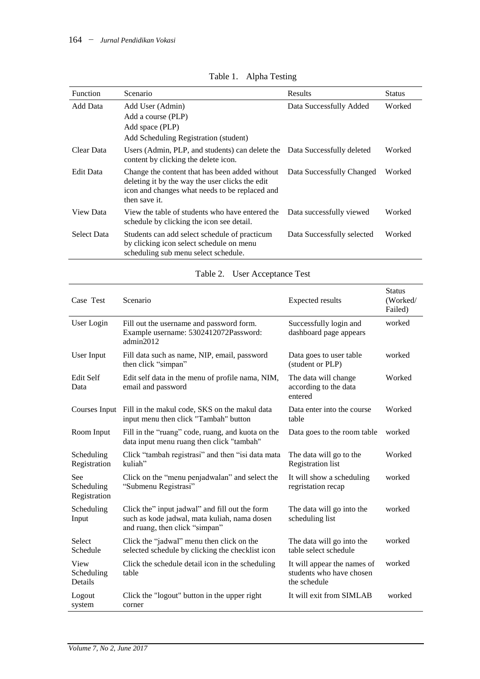| <b>Function</b>    | Scenario                                                                                                                                                             | Results                    | <b>Status</b> |  |
|--------------------|----------------------------------------------------------------------------------------------------------------------------------------------------------------------|----------------------------|---------------|--|
| Add Data           | Add User (Admin)<br>Add a course (PLP)<br>Add space (PLP)<br>Add Scheduling Registration (student)                                                                   | Data Successfully Added    | Worked        |  |
| Clear Data         | Users (Admin, PLP, and students) can delete the Data Successfully deleted<br>content by clicking the delete icon.                                                    |                            | Worked        |  |
| Edit Data          | Change the content that has been added without<br>deleting it by the way the user clicks the edit<br>icon and changes what needs to be replaced and<br>then save it. | Data Successfully Changed  | Worked        |  |
| View Data          | View the table of students who have entered the<br>schedule by clicking the icon see detail.                                                                         | Data successfully viewed   | Worked        |  |
| <b>Select Data</b> | Students can add select schedule of practicum<br>by clicking icon select schedule on menu<br>scheduling sub menu select schedule.                                    | Data Successfully selected | Worked        |  |

|  | Table 1. Alpha Testing |
|--|------------------------|
|--|------------------------|

|  | Table 2. User Acceptance Test |  |
|--|-------------------------------|--|
|--|-------------------------------|--|

| Case Test                         | Scenario                                                                                                                         | <b>Expected results</b>                                                 | <b>Status</b><br>(Worked/<br>Failed) |
|-----------------------------------|----------------------------------------------------------------------------------------------------------------------------------|-------------------------------------------------------------------------|--------------------------------------|
| User Login                        | Fill out the username and password form.<br>Example username: 5302412072Password:<br>admin2012                                   | Successfully login and<br>dashboard page appears                        | worked                               |
| User Input                        | Fill data such as name, NIP, email, password<br>then click "simpan"                                                              | Data goes to user table<br>(student or PLP)                             | worked                               |
| <b>Edit Self</b><br>Data          | Edit self data in the menu of profile nama, NIM,<br>email and password                                                           | The data will change<br>according to the data<br>entered                | Worked                               |
|                                   | Courses Input Fill in the makul code, SKS on the makul data<br>input menu then click "Tambah" button                             | Data enter into the course<br>table                                     | Worked                               |
| Room Input                        | Fill in the "ruang" code, ruang, and kuota on the<br>data input menu ruang then click "tambah"                                   | Data goes to the room table                                             | worked                               |
| Scheduling<br>Registration        | Click "tambah registrasi" and then "isi data mata<br>kuliah"                                                                     | The data will go to the<br><b>Registration</b> list                     | Worked                               |
| See<br>Scheduling<br>Registration | Click on the "menu penjadwalan" and select the<br>"Submenu Registrasi"                                                           | It will show a scheduling<br>regristation recap                         | worked                               |
| Scheduling<br>Input               | Click the" input jadwal" and fill out the form<br>such as kode jadwal, mata kuliah, nama dosen<br>and ruang, then click "simpan" | The data will go into the<br>scheduling list                            | worked                               |
| Select<br>Schedule                | Click the "jadwal" menu then click on the<br>selected schedule by clicking the checklist icon                                    | The data will go into the<br>table select schedule                      | worked                               |
| View<br>Scheduling<br>Details     | Click the schedule detail icon in the scheduling<br>table                                                                        | It will appear the names of<br>students who have chosen<br>the schedule | worked                               |
| Logout<br>system                  | Click the "logout" button in the upper right<br>corner                                                                           | It will exit from SIMLAB                                                | worked                               |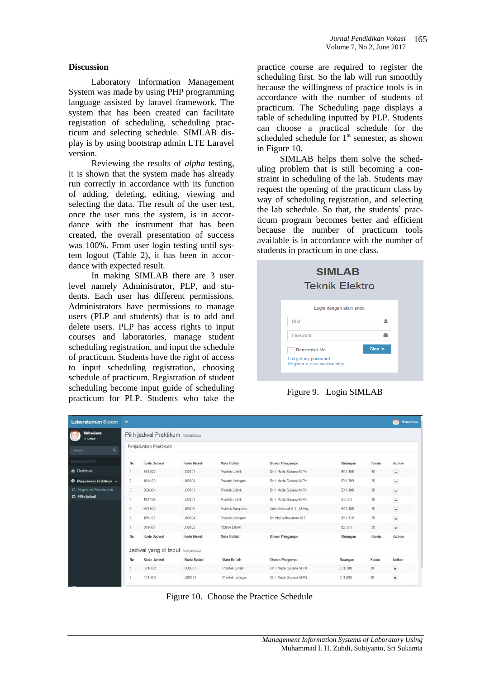### **Discussion**

Laboratory Information Management System was made by using PHP programming language assisted by laravel framework. The system that has been created can facilitate registation of scheduling, scheduling practicum and selecting schedule. SIMLAB display is by using bootstrap admin LTE Laravel version.

Reviewing the results of *alpha* testing, it is shown that the system made has already run correctly in accordance with its function of adding, deleting, editing, viewing and selecting the data. The result of the user test, once the user runs the system, is in accordance with the instrument that has been created, the overall presentation of success was 100%. From user login testing until system logout (Table 2), it has been in accordance with expected result.

In making SIMLAB there are 3 user level namely Administrator, PLP, and students. Each user has different permissions. Administrators have permissions to manage users (PLP and students) that is to add and delete users. PLP has access rights to input courses and laboratories, manage student scheduling registration, and input the schedule of practicum. Students have the right of access to input scheduling registration, choosing schedule of practicum. Registration of student scheduling become input guide of scheduling practicum for PLP. Students who take the practice course are required to register the scheduling first. So the lab will run smoothly because the willingness of practice tools is in accordance with the number of students of practicum. The Scheduling page displays a table of scheduling inputted by PLP. Students can choose a practical schedule for the scheduled schedule for  $1<sup>st</sup>$  semester, as shown in Figure 10.

SIMLAB helps them solve the scheduling problem that is still becoming a constraint in scheduling of the lab. Students may request the opening of the practicum class by way of scheduling registration, and selecting the lab schedule. So that, the students' practicum program becomes better and efficient because the number of practicum tools available is in accordance with the number of students in practicum in one class.

| <b>SIMLAB</b><br><b>Teknik Elektro</b>                           |         |
|------------------------------------------------------------------|---------|
| Login dengan akun anda                                           |         |
| <b>NIM</b>                                                       | ┸       |
| Password                                                         |         |
| Remember Me<br>I forgot my password<br>Register a new membership | Sign In |

Figure 9. Login SIMLAB

| <b>Laboratorium Sistem</b>           | Ξ              |                                  |            |                  |                              |         |       | Mahasiswa<br>(D) |
|--------------------------------------|----------------|----------------------------------|------------|------------------|------------------------------|---------|-------|------------------|
| Mahasiswa<br>Online                  |                | Pilih jadwal Praktikum Mahasiswa |            |                  |                              |         |       |                  |
| $\alpha$<br>Search <sup></sup>       |                | Penjadwalan Praktikum            |            |                  |                              |         |       |                  |
| NAN NAMSKYON                         | No             | Kode Jadwal                      | Kode Makul | Mata Kuliah      | Dosen Pengampu               | Ruangan | Kuota | Action           |
| <b>@</b> Dashboard                   |                | 301-302                          | U30001     | Praktek Listrik  | Dr. I Made Sudana M Pd.      | E11 308 | 30    | $\checkmark$     |
| <sup>@</sup> Penjadwalan Praktikum v | $\overline{2}$ | 101-103                          | U00004     | Praktek Jaringan | Dr. I Made Sudana M.Pd.      | E11 209 | 30    | $\checkmark$     |
| O: Regristasi Penjadwalan            | 3              | 302-304                          | U30001     | Praktek Listrik  | Dr. I Made Sudana M Pd.      | E11 308 | 30    | $\checkmark$     |
| O Pilih Jadwal                       | 4              | 102-105                          | U30001     | Praktek Listrik  | Dr. 1 Made Sudana M Pd.      | E6 301  | 30    | $_{\checkmark}$  |
|                                      | 5              | 501-503                          | 100005     | Praktek Kompoter | Arief Arfriandi S.T., M.Eng. | E11 308 | 30    | $\checkmark$     |
|                                      | 6              | 105-107                          | LI00004    | Praktek Jaringan | Dr. Hari Wibawanto M.T.      | E11 210 | 30    | $\checkmark$     |
|                                      | $\overline{I}$ | 301-307                          | U30002     | P Daya Listrik   |                              | E6 301  | 30    | $\omega$         |
|                                      | No             | Kode Jadwal                      | Kode Makul | Mata Kuliah      | Dosen Pengampu               | Ruangan | Kuota | Action           |
|                                      |                | Jadwal yang di Input Mahasawa    |            |                  |                              |         |       |                  |
|                                      | No             | Kode Jadwal                      | Kode Makul | Mata Kuliah      | Dosen Pengampu               | Ruangan | Kuota | Action           |
|                                      |                | 301-302                          | U30001     | Praktek Listrik  | Dr. I Made Sudana M Pd.      | E11.308 | 30    | $\,$ $\,$        |
|                                      | 2              | 101-103                          | U00004     | Praktek Jaringan | Dr. I Made Sudana M Pd.      | E11 209 | 30    | $\,$ $\,$        |

Figure 10. Choose the Practice Schedule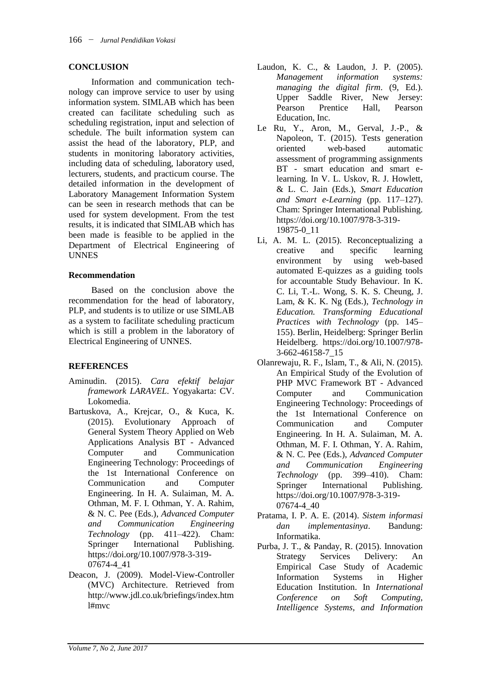### **CONCLUSION**

Information and communication technology can improve service to user by using information system. SIMLAB which has been created can facilitate scheduling such as scheduling registration, input and selection of schedule. The built information system can assist the head of the laboratory, PLP, and students in monitoring laboratory activities, including data of scheduling, laboratory used, lecturers, students, and practicum course. The detailed information in the development of Laboratory Management Information System can be seen in research methods that can be used for system development. From the test results, it is indicated that SIMLAB which has been made is feasible to be applied in the Department of Electrical Engineering of UNNES

### **Recommendation**

Based on the conclusion above the recommendation for the head of laboratory, PLP, and students is to utilize or use SIMLAB as a system to facilitate scheduling practicum which is still a problem in the laboratory of Electrical Engineering of UNNES.

# **REFERENCES**

- Aminudin. (2015). *Cara efektif belajar framework LARAVEL*. Yogyakarta: CV. Lokomedia.
- Bartuskova, A., Krejcar, O., & Kuca, K. (2015). Evolutionary Approach of General System Theory Applied on Web Applications Analysis BT - Advanced Computer and Communication Engineering Technology: Proceedings of the 1st International Conference on Communication and Computer Engineering. In H. A. Sulaiman, M. A. Othman, M. F. I. Othman, Y. A. Rahim, & N. C. Pee (Eds.), *Advanced Computer and Communication Engineering Technology* (pp. 411–422). Cham: Springer International Publishing. https://doi.org/10.1007/978-3-319- 07674-4\_41
- Deacon, J. (2009). Model-View-Controller (MVC) Architecture. Retrieved from http://www.jdl.co.uk/briefings/index.htm l#mvc
- Laudon, K. C., & Laudon, J. P. (2005). *Management information systems: managing the digital firm*. (9, Ed.). Upper Saddle River, New Jersey: Pearson Prentice Hall, Pearson Education, Inc.
- Le Ru, Y., Aron, M., Gerval, J.-P., & Napoleon, T. (2015). Tests generation oriented web-based automatic assessment of programming assignments BT - smart education and smart elearning. In V. L. Uskov, R. J. Howlett, & L. C. Jain (Eds.), *Smart Education and Smart e-Learning* (pp. 117–127). Cham: Springer International Publishing. https://doi.org/10.1007/978-3-319- 19875-0\_11
- Li, A. M. L. (2015). Reconceptualizing a creative and specific learning environment by using web-based automated E-quizzes as a guiding tools for accountable Study Behaviour. In K. C. Li, T.-L. Wong, S. K. S. Cheung, J. Lam, & K. K. Ng (Eds.), *Technology in Education. Transforming Educational Practices with Technology* (pp. 145– 155). Berlin, Heidelberg: Springer Berlin Heidelberg. https://doi.org/10.1007/978- 3-662-46158-7\_15
- Olanrewaju, R. F., Islam, T., & Ali, N. (2015). An Empirical Study of the Evolution of PHP MVC Framework BT - Advanced Computer and Communication Engineering Technology: Proceedings of the 1st International Conference on Communication and Computer Engineering. In H. A. Sulaiman, M. A. Othman, M. F. I. Othman, Y. A. Rahim, & N. C. Pee (Eds.), *Advanced Computer and Communication Engineering Technology* (pp. 399–410). Cham: Springer International Publishing. https://doi.org/10.1007/978-3-319- 07674-4\_40
- Pratama, I. P. A. E. (2014). *Sistem informasi dan implementasinya*. Bandung: Informatika.
- Purba, J. T., & Panday, R. (2015). Innovation Strategy Services Delivery: An Empirical Case Study of Academic Information Systems in Higher Education Institution. In *International Conference on Soft Computing, Intelligence Systems, and Information*